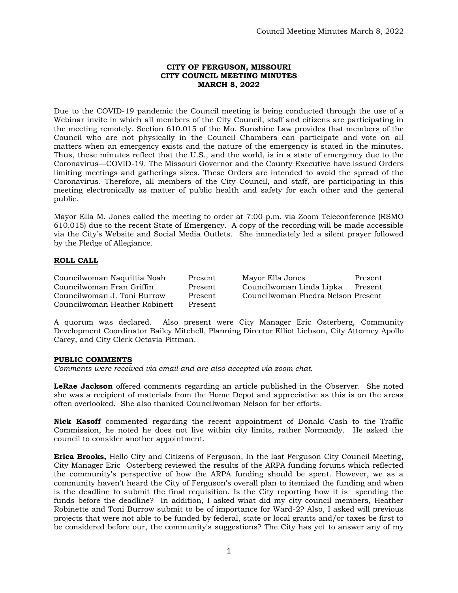## **CITY OF FERGUSON, MISSOURI CITY COUNCIL MEETING MINUTES MARCH 8, 2022**

Due to the COVID-19 pandemic the Council meeting is being conducted through the use of a Webinar invite in which all members of the City Council, staff and citizens are participating in the meeting remotely. Section 610.015 of the Mo. Sunshine Law provides that members of the Council who are not physically in the Council Chambers can participate and vote on all matters when an emergency exists and the nature of the emergency is stated in the minutes. Thus, these minutes reflect that the U.S., and the world, is in a state of emergency due to the Coronavirus—COVID-19. The Missouri Governor and the County Executive have issued Orders limiting meetings and gatherings sizes. These Orders are intended to avoid the spread of the Coronavirus. Therefore, all members of the City Council, and staff, are participating in this meeting electronically as matter of public health and safety for each other and the general public.

Mayor Ella M. Jones called the meeting to order at 7:00 p.m. via Zoom Teleconference (RSMO 610.015) due to the recent State of Emergency. A copy of the recording will be made accessible via the City's Website and Social Media Outlets. She immediately led a silent prayer followed by the Pledge of Allegiance.

## **ROLL CALL**

Councilwoman Naquittia Noah Present Mayor Ella Jones Present Councilwoman J. Toni Burrow Present Councilwoman Phedra Nelson Present Councilwoman Heather Robinett Present

Present Councilwoman Linda Lipka Present

A quorum was declared. Also present were City Manager Eric Osterberg, Community Development Coordinator Bailey Mitchell, Planning Director Elliot Liebson, City Attorney Apollo Carey, and City Clerk Octavia Pittman.

## **PUBLIC COMMENTS**

*Comments were received via email and are also accepted via zoom chat.* 

**LeRae Jackson** offered comments regarding an article published in the Observer. She noted she was a recipient of materials from the Home Depot and appreciative as this is on the areas often overlooked. She also thanked Councilwoman Nelson for her efforts.

**Nick Kasoff** commented regarding the recent appointment of Donald Cash to the Traffic Commission, he noted he does not live within city limits, rather Normandy. He asked the council to consider another appointment.

**Erica Brooks,** Hello City and Citizens of Ferguson, In the last Ferguson City Council Meeting, City Manager Eric Osterberg reviewed the results of the ARPA funding forums which reflected the community's perspective of how the ARPA funding should be spent. However, we as a community haven't heard the City of Ferguson's overall plan to itemized the funding and when is the deadline to submit the final requisition. Is the City reporting how it is spending the funds before the deadline? In addition, I asked what did my city council members, Heather Robinette and Toni Burrow submit to be of importance for Ward-2? Also, I asked will previous projects that were not able to be funded by federal, state or local grants and/or taxes be first to be considered before our, the community's suggestions? The City has yet to answer any of my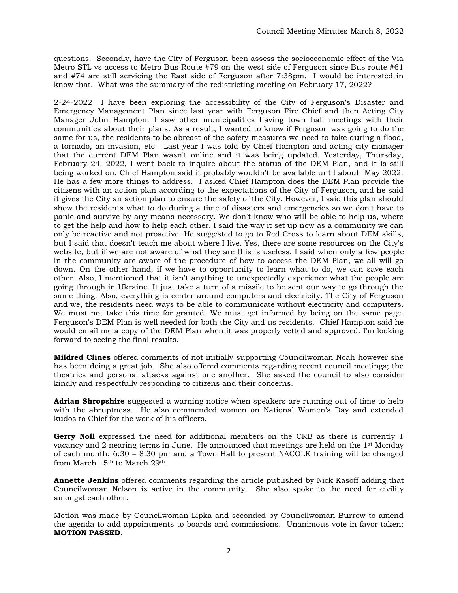questions. Secondly, have the City of Ferguson been assess the socioeconomic effect of the Via Metro STL vs access to Metro Bus Route #79 on the west side of Ferguson since Bus route #61 and #74 are still servicing the East side of Ferguson after 7:38pm. I would be interested in know that. What was the summary of the redistricting meeting on February 17, 2022?

2-24-2022 I have been exploring the accessibility of the City of Ferguson's Disaster and Emergency Management Plan since last year with Ferguson Fire Chief and then Acting City Manager John Hampton. I saw other municipalities having town hall meetings with their communities about their plans. As a result, I wanted to know if Ferguson was going to do the same for us, the residents to be abreast of the safety measures we need to take during a flood, a tornado, an invasion, etc. Last year I was told by Chief Hampton and acting city manager that the current DEM Plan wasn't online and it was being updated. Yesterday, Thursday, February 24, 2022, I went back to inquire about the status of the DEM Plan, and it is still being worked on. Chief Hampton said it probably wouldn't be available until about May 2022. He has a few more things to address. I asked Chief Hampton does the DEM Plan provide the citizens with an action plan according to the expectations of the City of Ferguson, and he said it gives the City an action plan to ensure the safety of the City. However, I said this plan should show the residents what to do during a time of disasters and emergencies so we don't have to panic and survive by any means necessary. We don't know who will be able to help us, where to get the help and how to help each other. I said the way it set up now as a community we can only be reactive and not proactive. He suggested to go to Red Cross to learn about DEM skills, but I said that doesn't teach me about where I live. Yes, there are some resources on the City's website, but if we are not aware of what they are this is useless. I said when only a few people in the community are aware of the procedure of how to access the DEM Plan, we all will go down. On the other hand, if we have to opportunity to learn what to do, we can save each other. Also, I mentioned that it isn't anything to unexpectedly experience what the people are going through in Ukraine. It just take a turn of a missile to be sent our way to go through the same thing. Also, everything is center around computers and electricity. The City of Ferguson and we, the residents need ways to be able to communicate without electricity and computers. We must not take this time for granted. We must get informed by being on the same page. Ferguson's DEM Plan is well needed for both the City and us residents. Chief Hampton said he would email me a copy of the DEM Plan when it was properly vetted and approved. I'm looking forward to seeing the final results.

**Mildred Clines** offered comments of not initially supporting Councilwoman Noah however she has been doing a great job. She also offered comments regarding recent council meetings; the theatrics and personal attacks against one another. She asked the council to also consider kindly and respectfully responding to citizens and their concerns.

**Adrian Shropshire** suggested a warning notice when speakers are running out of time to help with the abruptness. He also commended women on National Women's Day and extended kudos to Chief for the work of his officers.

**Gerry Noll** expressed the need for additional members on the CRB as there is currently 1 vacancy and 2 nearing terms in June. He announced that meetings are held on the 1st Monday of each month; 6:30 – 8:30 pm and a Town Hall to present NACOLE training will be changed from March 15th to March 29th.

**Annette Jenkins** offered comments regarding the article published by Nick Kasoff adding that Councilwoman Nelson is active in the community. She also spoke to the need for civility amongst each other.

Motion was made by Councilwoman Lipka and seconded by Councilwoman Burrow to amend the agenda to add appointments to boards and commissions. Unanimous vote in favor taken; **MOTION PASSED.**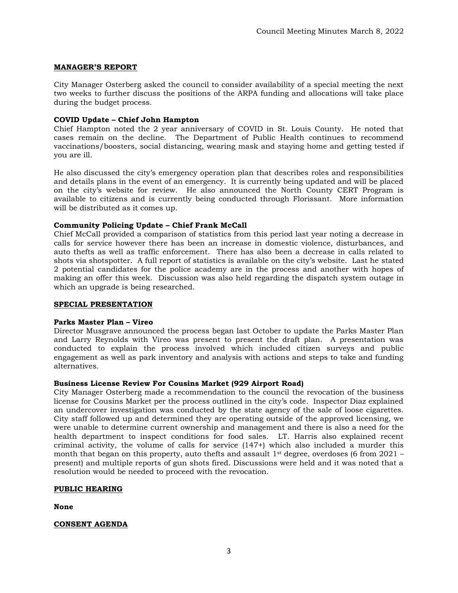# **MANAGER'S REPORT**

City Manager Osterberg asked the council to consider availability of a special meeting the next two weeks to further discuss the positions of the ARPA funding and allocations will take place during the budget process.

# **COVID Update – Chief John Hampton**

Chief Hampton noted the 2 year anniversary of COVID in St. Louis County. He noted that cases remain on the decline. The Department of Public Health continues to recommend vaccinations/boosters, social distancing, wearing mask and staying home and getting tested if you are ill.

He also discussed the city's emergency operation plan that describes roles and responsibilities and details plans in the event of an emergency. It is currently being updated and will be placed on the city's website for review. He also announced the North County CERT Program is available to citizens and is currently being conducted through Florissant. More information will be distributed as it comes up.

## **Community Policing Update – Chief Frank McCall**

Chief McCall provided a comparison of statistics from this period last year noting a decrease in calls for service however there has been an increase in domestic violence, disturbances, and auto thefts as well as traffic enforcement. There has also been a decrease in calls related to shots via shotspotter. A full report of statistics is available on the city's website. Last he stated 2 potential candidates for the police academy are in the process and another with hopes of making an offer this week. Discussion was also held regarding the dispatch system outage in which an upgrade is being researched.

## **SPECIAL PRESENTATION**

## **Parks Master Plan – Vireo**

Director Musgrave announced the process began last October to update the Parks Master Plan and Larry Reynolds with Vireo was present to present the draft plan. A presentation was conducted to explain the process involved which included citizen surveys and public engagement as well as park inventory and analysis with actions and steps to take and funding alternatives.

## **Business License Review For Cousins Market (929 Airport Road)**

City Manager Osterberg made a recommendation to the council the revocation of the business license for Cousins Market per the process outlined in the city's code. Inspector Diaz explained an undercover investigation was conducted by the state agency of the sale of loose cigarettes. City staff followed up and determined they are operating outside of the approved licensing, we were unable to determine current ownership and management and there is also a need for the health department to inspect conditions for food sales. LT. Harris also explained recent criminal activity, the volume of calls for service (147+) which also included a murder this month that began on this property, auto thefts and assault  $1^{st}$  degree, overdoses (6 from 2021 – present) and multiple reports of gun shots fired. Discussions were held and it was noted that a resolution would be needed to proceed with the revocation.

## **PUBLIC HEARING**

**None**

## **CONSENT AGENDA**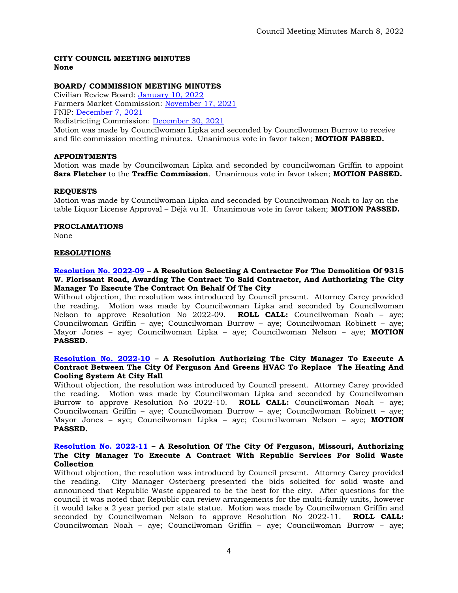## **CITY COUNCIL MEETING MINUTES None**

# **BOARD/ COMMISSION MEETING MINUTES**

Civilian Review Board: [January 10, 2022](https://www.fergusoncity.com/DocumentCenter/View/5657/FCRB-Open-Meeting-Minutes-01102022) Farmers Market Commission: [November 17, 2021](https://www.fergusoncity.com/DocumentCenter/View/5659/Farmers-Market-Minutes-11-17-21) FNIP: [December 7, 2021](https://www.fergusoncity.com/DocumentCenter/View/5664/FNIP-Meeting-Minutes-120721) Redistricting Commission: [December 30, 2021](https://www.fergusoncity.com/DocumentCenter/View/5663/Redistrict-MINUTES-123021)

Motion was made by Councilwoman Lipka and seconded by Councilwoman Burrow to receive and file commission meeting minutes. Unanimous vote in favor taken; **MOTION PASSED.** 

## **APPOINTMENTS**

Motion was made by Councilwoman Lipka and seconded by councilwoman Griffin to appoint **Sara Fletcher** to the **Traffic Commission**. Unanimous vote in favor taken; **MOTION PASSED.** 

## **REQUESTS**

Motion was made by Councilwoman Lipka and seconded by Councilwoman Noah to lay on the table Liquor License Approval – Déjà vu II. Unanimous vote in favor taken; **MOTION PASSED.** 

## **PROCLAMATIONS**

None

## **RESOLUTIONS**

## **[Resolution No. 2022-09](https://www.fergusoncity.com/DocumentCenter/View/5658/Resolution-No-2022-09-9315-W-Florissant-Rd-Demo) – A Resolution Selecting A Contractor For The Demolition Of 9315 W. Florissant Road, Awarding The Contract To Said Contractor, And Authorizing The City Manager To Execute The Contract On Behalf Of The City**

Without objection, the resolution was introduced by Council present. Attorney Carey provided the reading. Motion was made by Councilwoman Lipka and seconded by Councilwoman Nelson to approve Resolution No 2022-09. **ROLL CALL:** Councilwoman Noah – aye; Councilwoman Griffin – aye; Councilwoman Burrow – aye; Councilwoman Robinett – aye; Mayor Jones – aye; Councilwoman Lipka – aye; Councilwoman Nelson – aye; **MOTION PASSED.**

## **[Resolution No. 2022-10](https://www.fergusoncity.com/DocumentCenter/View/5660/Resolution-No-2022-10-GREENS-HVAC-system-at-city-hall) – A Resolution Authorizing The City Manager To Execute A Contract Between The City Of Ferguson And Greens HVAC To Replace The Heating And Cooling System At City Hall**

Without objection, the resolution was introduced by Council present. Attorney Carey provided the reading. Motion was made by Councilwoman Lipka and seconded by Councilwoman Burrow to approve Resolution No 2022-10. **ROLL CALL:** Councilwoman Noah – aye; Councilwoman Griffin – aye; Councilwoman Burrow – aye; Councilwoman Robinett – aye; Mayor Jones – aye; Councilwoman Lipka – aye; Councilwoman Nelson – aye; **MOTION PASSED.**

#### **[Resolution No. 2022-11](https://www.fergusoncity.com/DocumentCenter/View/5661/2022-11-Republic-Waste) – A Resolution Of The City Of Ferguson, Missouri, Authorizing The City Manager To Execute A Contract With Republic Services For Solid Waste Collection**

Without objection, the resolution was introduced by Council present. Attorney Carey provided the reading. City Manager Osterberg presented the bids solicited for solid waste and announced that Republic Waste appeared to be the best for the city. After questions for the council it was noted that Republic can review arrangements for the multi-family units, however it would take a 2 year period per state statue. Motion was made by Councilwoman Griffin and seconded by Councilwoman Nelson to approve Resolution No 2022-11. **ROLL CALL:**  Councilwoman Noah – aye; Councilwoman Griffin – aye; Councilwoman Burrow – aye;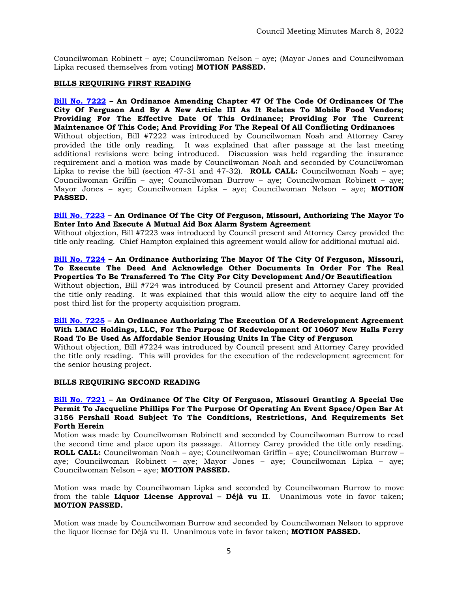Councilwoman Robinett – aye; Councilwoman Nelson – aye; (Mayor Jones and Councilwoman Lipka recused themselves from voting) **MOTION PASSED.**

## **BILLS REQUIRING FIRST READING**

**[Bill No. 7222](https://www.fergusoncity.com/DocumentCenter/View/5654/Bill-No-7222-2022-xxxxxMobile-Food-Truck-Permit) – An Ordinance Amending Chapter 47 Of The Code Of Ordinances Of The City Of Ferguson And By A New Article III As It Relates To Mobile Food Vendors; Providing For The Effective Date Of This Ordinance; Providing For The Current Maintenance Of This Code; And Providing For The Repeal Of All Conflicting Ordinances** Without objection, Bill #7222 was introduced by Councilwoman Noah and Attorney Carey provided the title only reading. It was explained that after passage at the last meeting additional revisions were being introduced. Discussion was held regarding the insurance requirement and a motion was made by Councilwoman Noah and seconded by Councilwoman Lipka to revise the bill (section 47-31 and 47-32). **ROLL CALL:** Councilwoman Noah – aye; Councilwoman Griffin – aye; Councilwoman Burrow – aye; Councilwoman Robinett – aye; Mayor Jones – aye; Councilwoman Lipka – aye; Councilwoman Nelson – aye; **MOTION PASSED.** 

## **[Bill No. 7223](https://www.fergusoncity.com/DocumentCenter/View/5655/Bill-No-7223-2022-xxxx-Authorizing-MABAS-Agreement-2-21-20221) – An Ordinance Of The City Of Ferguson, Missouri, Authorizing The Mayor To Enter Into And Execute A Mutual Aid Box Alarm System Agreement**

Without objection, Bill #7223 was introduced by Council present and Attorney Carey provided the title only reading. Chief Hampton explained this agreement would allow for additional mutual aid.

## **[Bill No. 7224](https://www.fergusoncity.com/DocumentCenter/View/5656/Bill-No-7224-2022-xxxx-Ordinance-for-Acquisition-2021-4) – An Ordinance Authorizing The Mayor Of The City Of Ferguson, Missouri, To Execute The Deed And Acknowledge Other Documents In Order For The Real Properties To Be Transferred To The City For City Development And/Or Beautification**

Without objection, Bill #724 was introduced by Council present and Attorney Carey provided the title only reading. It was explained that this would allow the city to acquire land off the post third list for the property acquisition program.

## **[Bill No. 7225](https://www.fergusoncity.com/DocumentCenter/View/5665/Bill-No-7225-2022-xxxx-A-CARING-PLUS-SENIOR-HOUSING-REDEVELOPMENT_AGREEMENT) – An Ordinance Authorizing The Execution Of A Redevelopment Agreement With LMAC Holdings, LLC, For The Purpose Of Redevelopment Of 10607 New Halls Ferry Road To Be Used As Affordable Senior Housing Units In The City of Ferguson**

Without objection, Bill #7224 was introduced by Council present and Attorney Carey provided the title only reading. This will provides for the execution of the redevelopment agreement for the senior housing project.

## **BILLS REQUIRING SECOND READING**

## **[Bill No. 7221](https://www.fergusoncity.com/DocumentCenter/View/5602/Bill-No-7221-2022-xxxx-SUP-3156-Pershall-Road) – An Ordinance Of The City Of Ferguson, Missouri Granting A Special Use Permit To Jacqueline Phillips For The Purpose Of Operating An Event Space/Open Bar At 3156 Pershall Road Subject To The Conditions, Restrictions, And Requirements Set Forth Herein**

Motion was made by Councilwoman Robinett and seconded by Councilwoman Burrow to read the second time and place upon its passage. Attorney Carey provided the title only reading. **ROLL CALL:** Councilwoman Noah – aye; Councilwoman Griffin – aye; Councilwoman Burrow – aye; Councilwoman Robinett – aye; Mayor Jones – aye; Councilwoman Lipka – aye; Councilwoman Nelson – aye; **MOTION PASSED.**

Motion was made by Councilwoman Lipka and seconded by Councilwoman Burrow to move from the table **Liquor License Approval – Déjà vu II**. Unanimous vote in favor taken; **MOTION PASSED.** 

Motion was made by Councilwoman Burrow and seconded by Councilwoman Nelson to approve the liquor license for Déjà vu II. Unanimous vote in favor taken; **MOTION PASSED.**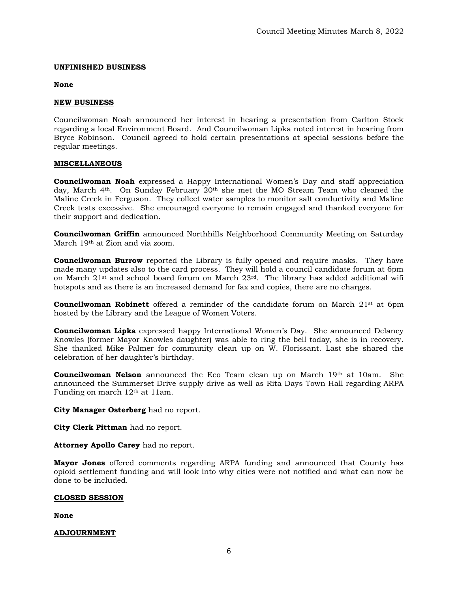#### **UNFINISHED BUSINESS**

#### **None**

#### **NEW BUSINESS**

Councilwoman Noah announced her interest in hearing a presentation from Carlton Stock regarding a local Environment Board. And Councilwoman Lipka noted interest in hearing from Bryce Robinson. Council agreed to hold certain presentations at special sessions before the regular meetings.

#### **MISCELLANEOUS**

**Councilwoman Noah** expressed a Happy International Women's Day and staff appreciation day, March 4th. On Sunday February 20th she met the MO Stream Team who cleaned the Maline Creek in Ferguson. They collect water samples to monitor salt conductivity and Maline Creek tests excessive. She encouraged everyone to remain engaged and thanked everyone for their support and dedication.

**Councilwoman Griffin** announced Northhills Neighborhood Community Meeting on Saturday March 19th at Zion and via zoom.

**Councilwoman Burrow** reported the Library is fully opened and require masks. They have made many updates also to the card process. They will hold a council candidate forum at 6pm on March  $21$ <sup>st</sup> and school board forum on March  $23$ <sup>rd</sup>. The library has added additional wifi hotspots and as there is an increased demand for fax and copies, there are no charges.

**Councilwoman Robinett** offered a reminder of the candidate forum on March 21<sup>st</sup> at 6pm hosted by the Library and the League of Women Voters.

**Councilwoman Lipka** expressed happy International Women's Day. She announced Delaney Knowles (former Mayor Knowles daughter) was able to ring the bell today, she is in recovery. She thanked Mike Palmer for community clean up on W. Florissant. Last she shared the celebration of her daughter's birthday.

**Councilwoman Nelson** announced the Eco Team clean up on March 19<sup>th</sup> at 10am. She announced the Summerset Drive supply drive as well as Rita Days Town Hall regarding ARPA Funding on march 12th at 11am.

**City Manager Osterberg** had no report.

**City Clerk Pittman** had no report.

**Attorney Apollo Carey** had no report.

**Mayor Jones** offered comments regarding ARPA funding and announced that County has opioid settlement funding and will look into why cities were not notified and what can now be done to be included.

## **CLOSED SESSION**

**None** 

## **ADJOURNMENT**